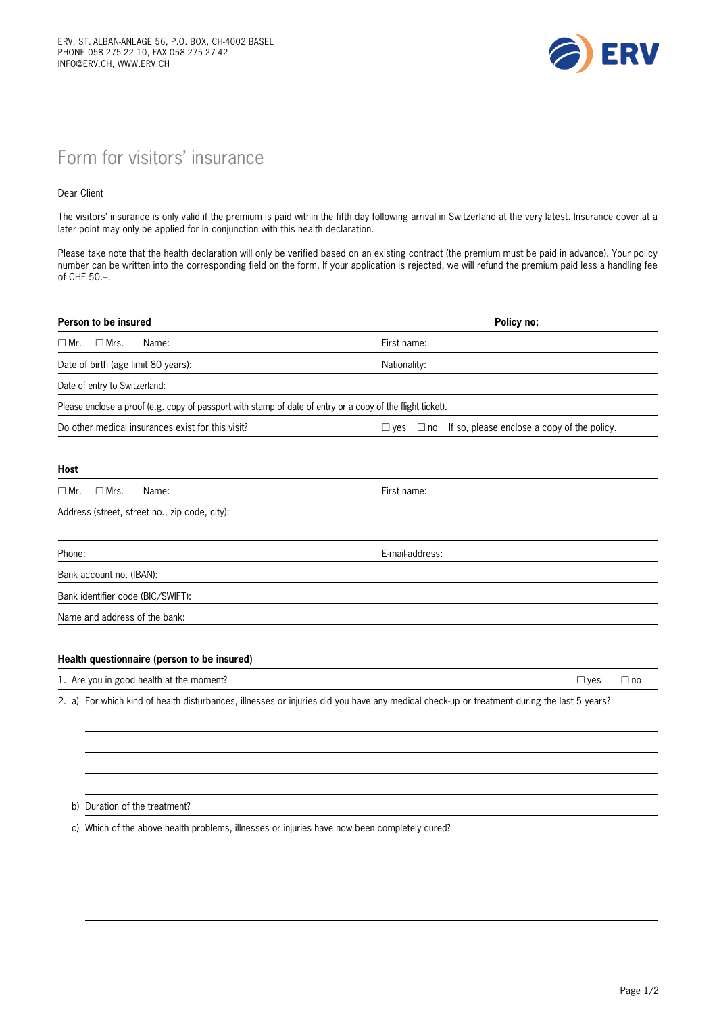

## Form for visitors' insurance

## Dear Client

The visitors' insurance is only valid if the premium is paid within the fifth day following arrival in Switzerland at the very latest. Insurance cover at a later point may only be applied for in conjunction with this health declaration.

Please take note that the health declaration will only be verified based on an existing contract (the premium must be paid in advance). Your policy number can be written into the corresponding field on the form. If your application is rejected, we will refund the premium paid less a handling fee of CHF 50.–.

| Person to be insured                                                                                                                       | Policy no:                                                                |
|--------------------------------------------------------------------------------------------------------------------------------------------|---------------------------------------------------------------------------|
| $\Box$ Mrs.<br>$\Box$ Mr.<br>Name:                                                                                                         | First name:                                                               |
| Date of birth (age limit 80 years):                                                                                                        | Nationality:                                                              |
| Date of entry to Switzerland:                                                                                                              |                                                                           |
| Please enclose a proof (e.g. copy of passport with stamp of date of entry or a copy of the flight ticket).                                 |                                                                           |
| Do other medical insurances exist for this visit?                                                                                          | If so, please enclose a copy of the policy.<br>$\square$ yes<br>$\Box$ no |
| <b>Host</b>                                                                                                                                |                                                                           |
| $\Box$ Mrs.<br>$\Box$ Mr.<br>Name:                                                                                                         | First name:                                                               |
| Address (street, street no., zip code, city):                                                                                              |                                                                           |
|                                                                                                                                            |                                                                           |
| Phone:                                                                                                                                     | E-mail-address:                                                           |
| Bank account no. (IBAN):                                                                                                                   |                                                                           |
| Bank identifier code (BIC/SWIFT):                                                                                                          |                                                                           |
| Name and address of the bank:                                                                                                              |                                                                           |
| Health questionnaire (person to be insured)                                                                                                |                                                                           |
| 1. Are you in good health at the moment?                                                                                                   | $\Box$ yes<br>$\Box$ no                                                   |
| 2. a) For which kind of health disturbances, illnesses or injuries did you have any medical check-up or treatment during the last 5 years? |                                                                           |
|                                                                                                                                            |                                                                           |
|                                                                                                                                            |                                                                           |
|                                                                                                                                            |                                                                           |
|                                                                                                                                            |                                                                           |

b) Duration of the treatment?

c) Which of the above health problems, illnesses or injuries have now been completely cured?